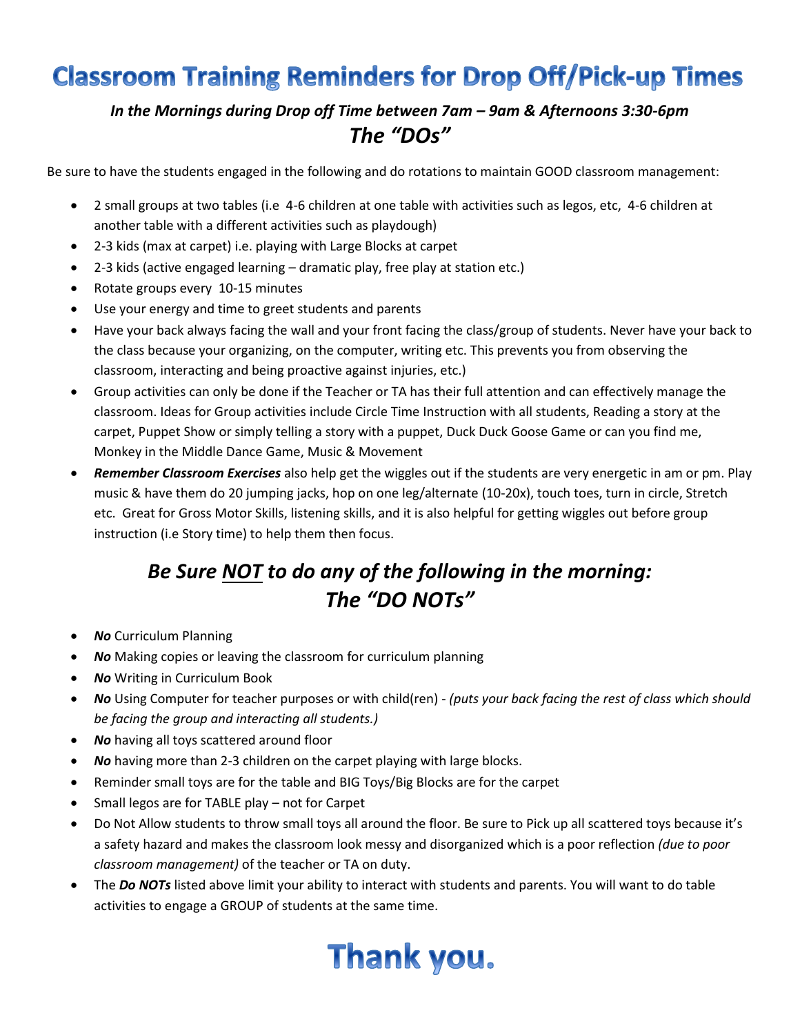## **Classroom Training Reminders for Drop Off/Pick-up Times**

## *In the Mornings during Drop off Time between 7am – 9am & Afternoons 3:30-6pm The "DOs"*

Be sure to have the students engaged in the following and do rotations to maintain GOOD classroom management:

- 2 small groups at two tables (i.e 4-6 children at one table with activities such as legos, etc, 4-6 children at another table with a different activities such as playdough)
- 2-3 kids (max at carpet) i.e. playing with Large Blocks at carpet
- 2-3 kids (active engaged learning dramatic play, free play at station etc.)
- Rotate groups every 10-15 minutes
- Use your energy and time to greet students and parents
- Have your back always facing the wall and your front facing the class/group of students. Never have your back to the class because your organizing, on the computer, writing etc. This prevents you from observing the classroom, interacting and being proactive against injuries, etc.)
- Group activities can only be done if the Teacher or TA has their full attention and can effectively manage the classroom. Ideas for Group activities include Circle Time Instruction with all students, Reading a story at the carpet, Puppet Show or simply telling a story with a puppet, Duck Duck Goose Game or can you find me, Monkey in the Middle Dance Game, Music & Movement
- *Remember Classroom Exercises* also help get the wiggles out if the students are very energetic in am or pm. Play music & have them do 20 jumping jacks, hop on one leg/alternate (10-20x), touch toes, turn in circle, Stretch etc. Great for Gross Motor Skills, listening skills, and it is also helpful for getting wiggles out before group instruction (i.e Story time) to help them then focus.

## *Be Sure NOT to do any of the following in the morning: The "DO NOTs"*

- *No* Curriculum Planning
- *No* Making copies or leaving the classroom for curriculum planning
- *No* Writing in Curriculum Book
- *No* Using Computer for teacher purposes or with child(ren) *(puts your back facing the rest of class which should be facing the group and interacting all students.)*
- *No* having all toys scattered around floor
- *No* having more than 2-3 children on the carpet playing with large blocks.
- Reminder small toys are for the table and BIG Toys/Big Blocks are for the carpet
- Small legos are for TABLE play not for Carpet
- Do Not Allow students to throw small toys all around the floor. Be sure to Pick up all scattered toys because it's a safety hazard and makes the classroom look messy and disorganized which is a poor reflection *(due to poor classroom management)* of the teacher or TA on duty.
- The *Do NOTs* listed above limit your ability to interact with students and parents. You will want to do table activities to engage a GROUP of students at the same time.

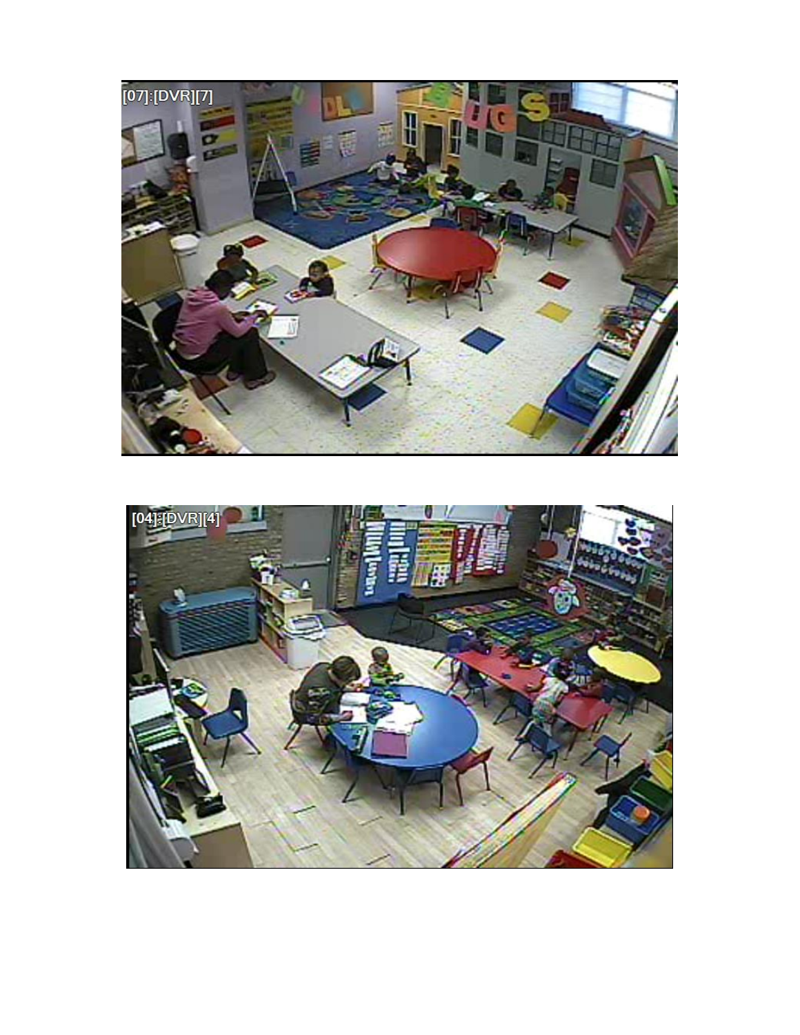